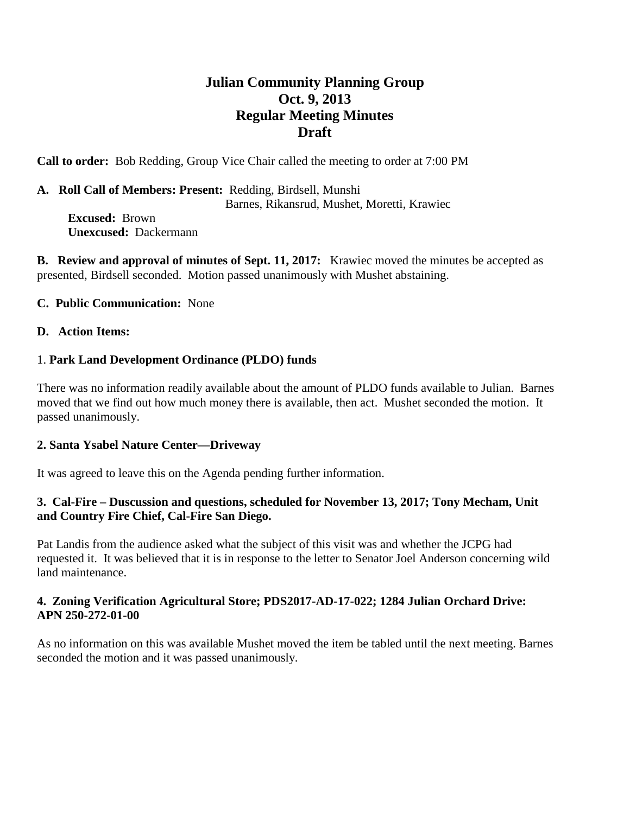# **Julian Community Planning Group Oct. 9, 2013 Regular Meeting Minutes Draft**

**Call to order:** Bob Redding, Group Vice Chair called the meeting to order at 7:00 PM

#### **A. Roll Call of Members: Present:** Redding, Birdsell, Munshi Barnes, Rikansrud, Mushet, Moretti, Krawiec **Excused:** Brown

 **Unexcused:** Dackermann

**B. Review and approval of minutes of Sept. 11, 2017:** Krawiec moved the minutes be accepted as presented, Birdsell seconded. Motion passed unanimously with Mushet abstaining.

# **C. Public Communication:** None

# **D. Action Items:**

# 1. **Park Land Development Ordinance (PLDO) funds**

There was no information readily available about the amount of PLDO funds available to Julian. Barnes moved that we find out how much money there is available, then act. Mushet seconded the motion. It passed unanimously.

#### **2. Santa Ysabel Nature Center—Driveway**

It was agreed to leave this on the Agenda pending further information.

# **3. Cal-Fire – Duscussion and questions, scheduled for November 13, 2017; Tony Mecham, Unit and Country Fire Chief, Cal-Fire San Diego.**

Pat Landis from the audience asked what the subject of this visit was and whether the JCPG had requested it. It was believed that it is in response to the letter to Senator Joel Anderson concerning wild land maintenance.

# **4. Zoning Verification Agricultural Store; PDS2017-AD-17-022; 1284 Julian Orchard Drive: APN 250-272-01-00**

As no information on this was available Mushet moved the item be tabled until the next meeting. Barnes seconded the motion and it was passed unanimously.